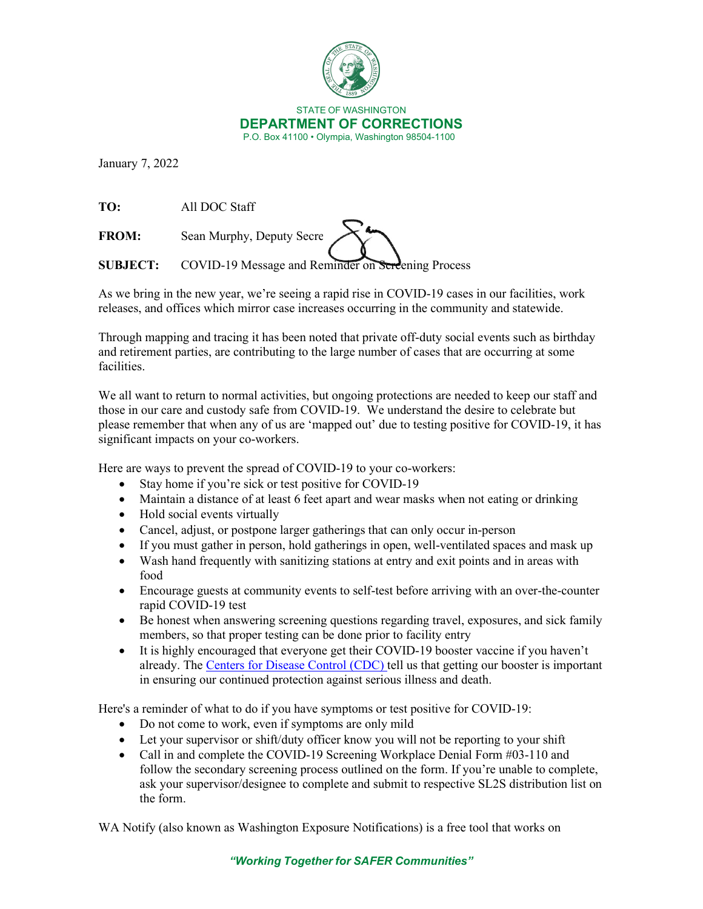

January 7, 2022

**TO:** All DOC Staff

**FROM:** Sean Murphy, Deputy Secre

**SUBJECT:** COVID-19 Message and Reminder on Screening Process

As we bring in the new year, we're seeing a rapid rise in COVID-19 cases in our facilities, work releases, and offices which mirror case increases occurring in the community and statewide.

Through mapping and tracing it has been noted that private off-duty social events such as birthday and retirement parties, are contributing to the large number of cases that are occurring at some facilities.

We all want to return to normal activities, but ongoing protections are needed to keep our staff and those in our care and custody safe from COVID-19. We understand the desire to celebrate but please remember that when any of us are 'mapped out' due to testing positive for COVID-19, it has significant impacts on your co-workers.

Here are ways to prevent the spread of COVID-19 to your co-workers:

- Stay home if you're sick or test positive for COVID-19
- Maintain a distance of at least 6 feet apart and wear masks when not eating or drinking
- Hold social events virtually
- Cancel, adjust, or postpone larger gatherings that can only occur in-person
- If you must gather in person, hold gatherings in open, well-ventilated spaces and mask up
- Wash hand frequently with sanitizing stations at entry and exit points and in areas with food
- Encourage guests at community events to self-test before arriving with an over-the-counter rapid COVID-19 test
- Be honest when answering screening questions regarding travel, exposures, and sick family members, so that proper testing can be done prior to facility entry
- It is highly encouraged that everyone get their COVID-19 booster vaccine if you haven't already. The [Centers for Disease Control \(CDC\) t](https://www.cdc.gov/coronavirus/2019-ncov/variants/omicron-variant.html)ell us that getting our booster is important in ensuring our continued protection against serious illness and death.

Here's a reminder of what to do if you have symptoms or test positive for COVID-19:

- Do not come to work, even if symptoms are only mild
- Let your supervisor or shift/duty officer know you will not be reporting to your shift
- Call in and complete the COVID-19 Screening Workplace Denial Form #03-110 and follow the secondary screening process outlined on the form. If you're unable to complete, ask your supervisor/designee to complete and submit to respective SL2S distribution list on the form.

WA Notify (also known as Washington Exposure Notifications) is a free tool that works on

*"Working Together for SAFER Communities"*